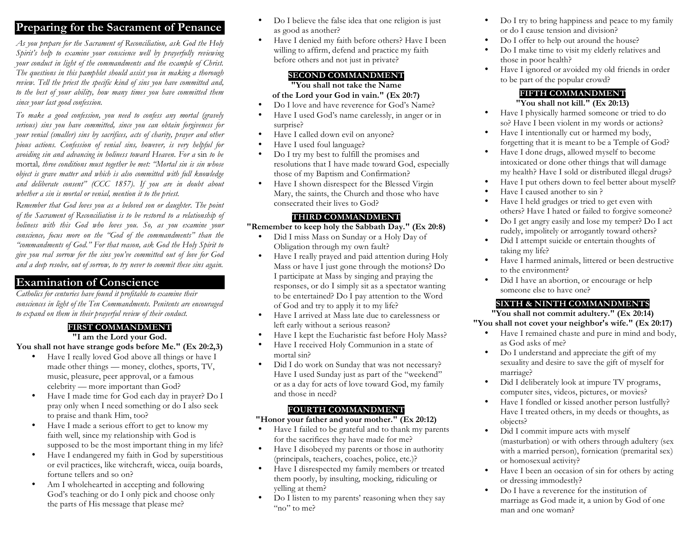## **Preparing for the Sacrament of Penance**

*As you prepare for the Sacrament of Reconciliation, ask God the Holy Spirit's help to examine your conscience well by prayerfully reviewing your conduct in light of the commandments and the example of Christ. The questions in this pamphlet should assist you in making a thorough review. Tell the priest the specific kind of sins you have committed and, to the best of your ability, how many times you have committed them since your last good confession.* 

*To make a good confession, you need to confess any mortal (gravely serious) sins you have committed, since you can obtain forgiveness for your venial (smaller) sins by sacrifices, acts of charity, prayer and other pious actions. Confession of venial sins, however, is very helpful for avoiding sin and advancing in holiness toward Heaven. For a* sin *to be*  mortal*, three conditions must together be met: "Mortal sin is sin whose object is grave matter and which is also committed with full knowledge and deliberate consent" (CCC 1857). If you are in doubt about whether a sin is mortal or venial, mention it to the priest.*

*Remember that God loves you as a beloved son or daughter. The point of the Sacrament of Reconciliation is to be restored to a relationship of holiness with this God who loves you. So, as you examine your conscience, focus more on the "God of the commandments" than the "commandments of God." For that reason, ask God the Holy Spirit to give you real sorrow for the sins you've committed out of love for God and a deep resolve, out of sorrow, to try never to commit these sins again.*

## **Examination of Conscience**

*Catholics for centuries have found it profitable to examine their consciences in light of the Ten Commandments. Penitents are encouraged to expand on them in their prayerful review of their conduct.*

## **FIRST COMMANDMENT**

**"I am the Lord your God.** 

**You shall not have strange gods before Me." (Ex 20:2,3)**

- Have I really loved God above all things or have I made other things — money, clothes, sports, TV, music, pleasure, peer approval, or a famous celebrity — more important than God?
- Have I made time for God each day in prayer? Do I pray only when I need something or do I also seek to praise and thank Him, too?
- Have I made a serious effort to get to know my faith well, since my relationship with God is supposed to be the most important thing in my life?
- Have I endangered my faith in God by superstitious or evil practices, like witchcraft, wicca, ouija boards, fortune tellers and so on?
- Am I wholehearted in accepting and following God's teaching or do I only pick and choose only the parts of His message that please me?
- Do I believe the false idea that one religion is just as good as another?
- Have I denied my faith before others? Have I been willing to affirm, defend and practice my faith before others and not just in private?

#### **SECOND COMMANDMENT**

**"You shall not take the Name** 

#### **of the Lord your God in vain." (Ex 20:7)**

- Do I love and have reverence for God's Name?
- Have I used God's name carelessly, in anger or in surprise?
- Have I called down evil on anyone?
- Have I used foul language?
- Do I try my best to fulfill the promises and resolutions that I have made toward God, especially those of my Baptism and Confirmation?
- Have I shown disrespect for the Blessed Virgin Mary, the saints, the Church and those who have consecrated their lives to God?

#### **THIRD COMMANDMENT**

#### **"Remember to keep holy the Sabbath Day." (Ex 20:8)**

- Did I miss Mass on Sunday or a Holy Day of Obligation through my own fault?
- Have I really prayed and paid attention during Holy Mass or have I just gone through the motions? Do I participate at Mass by singing and praying the responses, or do I simply sit as a spectator wanting to be entertained? Do I pay attention to the Word of God and try to apply it to my life?
- Have I arrived at Mass late due to carelessness or left early without a serious reason?
- Have I kept the Eucharistic fast before Holy Mass?
- Have I received Holy Communion in a state of mortal sin?
- Did I do work on Sunday that was not necessary? Have I used Sunday just as part of the "weekend" or as a day for acts of love toward God, my family and those in need?

## **FOURTH COMMANDMENT**

#### **"Honor your father and your mother." (Ex 20:12)**

- Have I failed to be grateful and to thank my parents for the sacrifices they have made for me?
- Have I disobeyed my parents or those in authority (principals, teachers, coaches, police, etc.)?
- Have I disrespected my family members or treated them poorly, by insulting, mocking, ridiculing or yelling at them?
- Do I listen to my parents' reasoning when they say "no" to me?
- Do I try to bring happiness and peace to my family or do I cause tension and division?
- Do I offer to help out around the house?
- Do I make time to visit my elderly relatives and those in poor health?
- Have I ignored or avoided my old friends in order to be part of the popular crowd?

## **FIFTH COMMANDMENT**

#### **"You shall not kill." (Ex 20:13)**

- Have I physically harmed someone or tried to do so? Have I been violent in my words or actions?
- Have I intentionally cut or harmed my body, forgetting that it is meant to be a Temple of God?
- Have I done drugs, allowed myself to become intoxicated or done other things that will damage my health? Have I sold or distributed illegal drugs?
- Have I put others down to feel better about myself?
- Have I caused another to sin ?
- Have I held grudges or tried to get even with others? Have I hated or failed to forgive someone?
- Do I get angry easily and lose my temper? Do I act rudely, impolitely or arrogantly toward others?
- Did I attempt suicide or entertain thoughts of taking my life?
- Have I harmed animals, littered or been destructive to the environment?
- Did I have an abortion, or encourage or help someone else to have one?

## **SIXTH & NINTH COMMANDMENTS**

**"You shall not commit adultery." (Ex 20:14)** 

#### **"You shall not covet your neighbor's wife." (Ex 20:17)**

- Have I remained chaste and pure in mind and body, as God asks of me?
- Do I understand and appreciate the gift of my sexuality and desire to save the gift of myself for marriage?
- Did I deliberately look at impure TV programs, computer sites, videos, pictures, or movies?
- Have I fondled or kissed another person lustfully? Have I treated others, in my deeds or thoughts, as objects?
- Did I commit impure acts with myself (masturbation) or with others through adultery (sex with a married person), fornication (premarital sex) or homosexual activity?
- Have I been an occasion of sin for others by acting or dressing immodestly?
- Do I have a reverence for the institution of marriage as God made it, a union by God of one man and one woman?